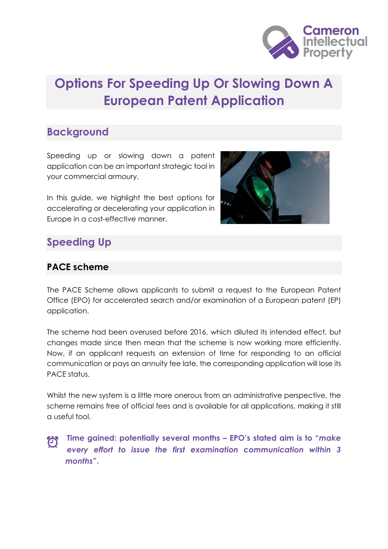

# **Options For Speeding Up Or Slowing Down A European Patent Application**

## **Background**

Speeding up or slowing down a patent application can be an important strategic tool in your commercial armoury.

In this guide, we highlight the best options for accelerating or decelerating your application in Europe in a cost-effective manner.



## **Speeding Up**

### **PACE scheme**

The PACE Scheme allows applicants to submit a request to the European Patent Office (EPO) for accelerated search and/or examination of a European patent (EP) application.

The scheme had been overused before 2016, which diluted its intended effect, but changes made since then mean that the scheme is now working more efficiently. Now, if an applicant requests an extension of time for responding to an official communication or pays an annuity fee late, the corresponding application will lose its PACE status.

Whilst the new system is a little more onerous from an administrative perspective, the scheme remains free of official fees and is available for all applications, making it still a useful tool.

**Time gained: potentially several months – EPO's stated aim is to "***make*   $\bigodot$ *every effort to issue the first examination communication within 3 months***".**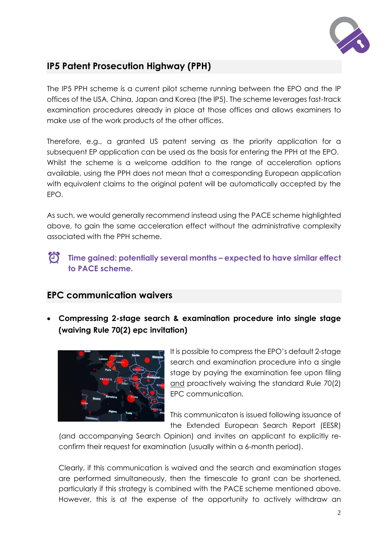

## **IP5 Patent Prosecution Highway (PPH)**

The IP5 PPH scheme is a current pilot scheme running between the EPO and the IP offices of the USA, China, Japan and Korea (the IP5). The scheme leverages fast-track examination procedures already in place at those offices and allows examiners to make use of the work products of the other offices.

Therefore, e.g., a granted US patent serving as the priority application for a subsequent EP application can be used as the basis for entering the PPH at the EPO. Whilst the scheme is a welcome addition to the range of acceleration options available, using the PPH does not mean that a corresponding European application with equivalent claims to the original patent will be automatically accepted by the EPO.

As such, we would generally recommend instead using the PACE scheme highlighted above, to gain the same acceleration effect without the administrative complexity associated with the PPH scheme.

 $\bigodot$ **Time gained: potentially several months – expected to have similar effect to PACE scheme.** 

### **EPC communication waivers**

• **Compressing 2-stage search & examination procedure into single stage (waiving Rule 70(2) epc invitation)**



It is possible to compress the EPO's default 2-stage search and examination procedure into a single stage by paying the examination fee upon filing and proactively waiving the standard Rule 70(2) EPC communication.

This communicaton is issued following issuance of the Extended European Search Report (EESR)

(and accompanying Search Opinion) and invites an applicant to explicitly reconfirm their request for examination (usually within a 6-month period).

Clearly, if this communication is waived and the search and examination stages are performed simultaneously, then the timescale to grant can be shortened, particularly if this strategy is combined with the PACE scheme mentioned above. However, this is at the expense of the opportunity to actively withdraw an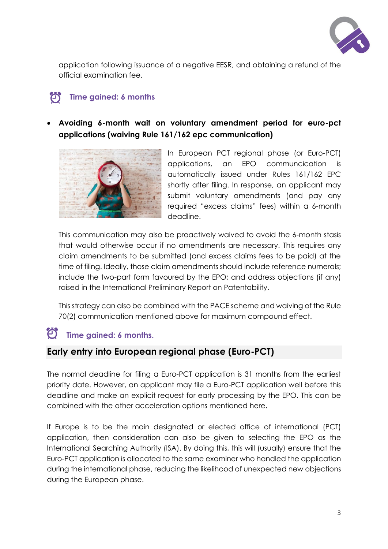

application following issuance of a negative EESR, and obtaining a refund of the official examination fee.

#### **Time gained: 6 months**  $\blacksquare$

• **Avoiding 6-month wait on voluntary amendment period for euro-pct applications (waiving Rule 161/162 epc communication)**



In European PCT regional phase (or Euro-PCT) applications, an EPO communcication is automatically issued under Rules 161/162 EPC shortly after filing. In response, an applicant may submit voluntary amendments (and pay any required "excess claims" fees) within a 6-month deadline.

This communication may also be proactively waived to avoid the 6-month stasis that would otherwise occur if no amendments are necessary. This requires any claim amendments to be submitted (and excess claims fees to be paid) at the time of filing. Ideally, those claim amendments should include reference numerals; include the two-part form favoured by the EPO; and address objections (if any) raised in the International Preliminary Report on Patentability.

This strategy can also be combined with the PACE scheme and waiving of the Rule 70(2) communication mentioned above for maximum compound effect.

## **Time gained: 6 months.**

## **Early entry into European regional phase (Euro-PCT)**

The normal deadline for filing a Euro-PCT application is 31 months from the earliest priority date. However, an applicant may file a Euro-PCT application well before this deadline and make an explicit request for early processing by the EPO. This can be combined with the other acceleration options mentioned here.

If Europe is to be the main designated or elected office of international (PCT) application, then consideration can also be given to selecting the EPO as the International Searching Authority (ISA). By doing this, this will (usually) ensure that the Euro-PCT application is allocated to the same examiner who handled the application during the international phase, reducing the likelihood of unexpected new objections during the European phase.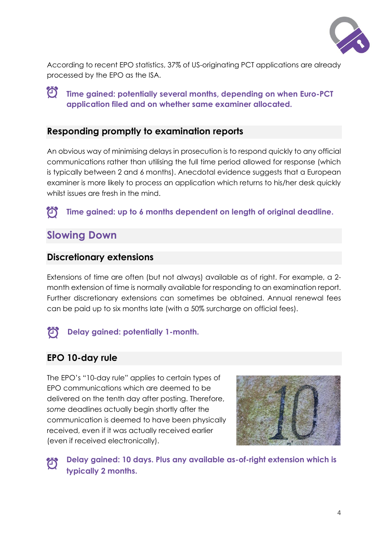

According to recent EPO statistics, 37% of US-originating PCT applications are already processed by the EPO as the ISA.

 $\bigodot$ **Time gained: potentially several months, depending on when Euro-PCT application filed and on whether same examiner allocated.** 

#### **Responding promptly to examination reports**

An obvious way of minimising delays in prosecution is to respond quickly to any official communications rather than utilising the full time period allowed for response (which is typically between 2 and 6 months). Anecdotal evidence suggests that a European examiner is more likely to process an application which returns to his/her desk quickly whilst issues are fresh in the mind.

#### $\bigcirc$ **Time gained: up to 6 months dependent on length of original deadline.**

## **Slowing Down**

#### **Discretionary extensions**

Extensions of time are often (but not always) available as of right. For example, a 2 month extension of time is normally available for responding to an examination report. Further discretionary extensions can sometimes be obtained. Annual renewal fees can be paid up to six months late (with a 50% surcharge on official fees).

#### $\bigcirc$ **Delay gained: potentially 1-month.**

### **EPO 10-day rule**

The EPO's "10-day rule" applies to certain types of EPO communications which are deemed to be delivered on the tenth day after posting. Therefore, *some* deadlines actually begin shortly after the communication is deemed to have been physically received, even if it was actually received earlier (even if received electronically).



**Delay gained: 10 days. Plus any available as-of-right extension which is**   $\bigcirc$ **typically 2 months.**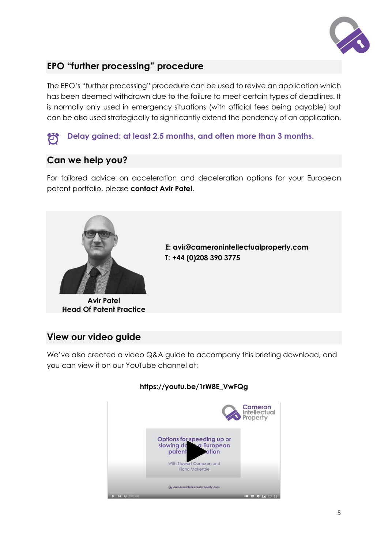

## **EPO "further processing" procedure**

The EPO's "further processing" procedure can be used to revive an application which has been deemed withdrawn due to the failure to meet certain types of deadlines. It is normally only used in emergency situations (with official fees being payable) but can be also used strategically to significantly extend the pendency of an application.

#### **Delay gained: at least 2.5 months, and often more than 3 months.**   $\left( \bigcirc \right)$

## **Can we help you?**

For tailored advice on acceleration and deceleration options for your European patent portfolio, please **contact Avir Patel**.



**Avir Patel Head Of Patent Practice** 

**E: avir@cameronintellectualproperty.com T: +44 (0)208 390 3775**

### **View our video guide**

We've also created a video Q&A guide to accompany this briefing download, and you can view it on our YouTube channel at:



#### **https://youtu.be/1rW8E\_VwFQg**